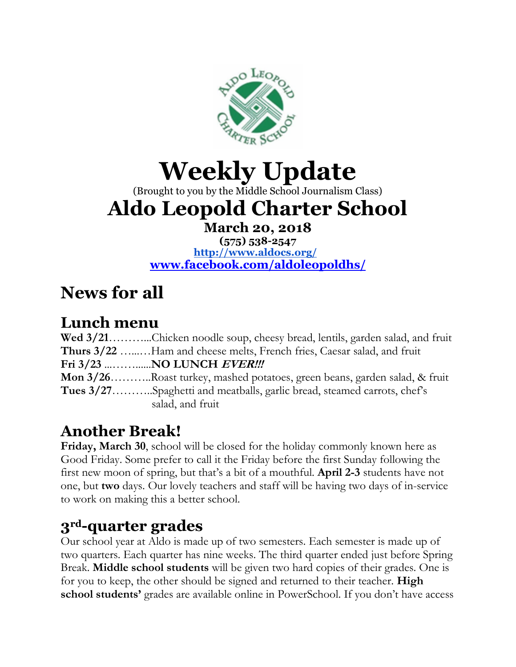

# **Weekly Update**

(Brought to you by the Middle School Journalism Class)

# **Aldo Leopold Charter School**

**March 20, 2018**

**(575) 538-2547 <http://www.aldocs.org/> [www.facebook.com/aldoleopoldhs/](http://www.facebook.com/aldoleopoldhs/)**

# **News for all**

#### **Lunch menu**

| Wed 3/21Chicken noodle soup, cheesy bread, lentils, garden salad, and fruit          |
|--------------------------------------------------------------------------------------|
| Thurs 3/22 Ham and cheese melts, French fries, Caesar salad, and fruit               |
|                                                                                      |
| <b>Mon 3/26Roast turkey, mashed potatoes, green beans, garden salad, &amp; fruit</b> |
| Tues 3/27Spaghetti and meatballs, garlic bread, steamed carrots, chef's              |
| salad, and fruit                                                                     |

#### **Another Break!**

**Friday, March 30**, school will be closed for the holiday commonly known here as Good Friday. Some prefer to call it the Friday before the first Sunday following the first new moon of spring, but that's a bit of a mouthful. **April 2-3** students have not one, but **two** days. Our lovely teachers and staff will be having two days of in-service to work on making this a better school.

#### **3rd-quarter grades**

Our school year at Aldo is made up of two semesters. Each semester is made up of two quarters. Each quarter has nine weeks. The third quarter ended just before Spring Break. **Middle school students** will be given two hard copies of their grades. One is for you to keep, the other should be signed and returned to their teacher. **High school students'** grades are available online in PowerSchool. If you don't have access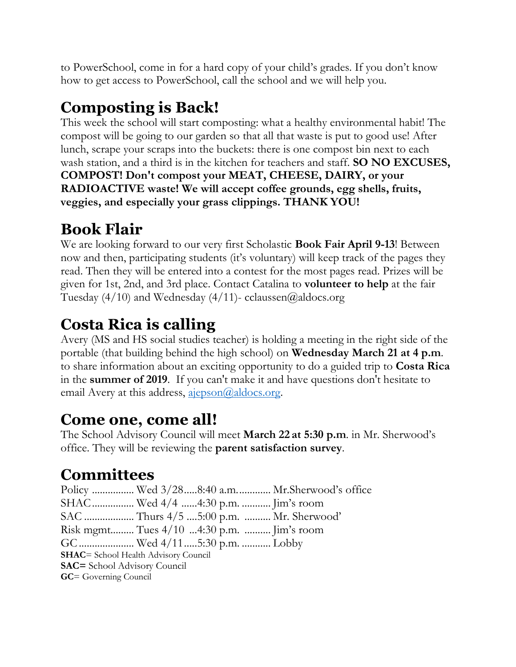to PowerSchool, come in for a hard copy of your child's grades. If you don't know how to get access to PowerSchool, call the school and we will help you.

## **Composting is Back!**

This week the school will start composting: what a healthy environmental habit! The compost will be going to our garden so that all that waste is put to good use! After lunch, scrape your scraps into the buckets: there is one compost bin next to each wash station, and a third is in the kitchen for teachers and staff. **SO NO EXCUSES, COMPOST! Don't compost your MEAT, CHEESE, DAIRY, or your RADIOACTIVE waste! We will accept coffee grounds, egg shells, fruits, veggies, and especially your grass clippings. THANK YOU!** 

## **Book Flair**

We are looking forward to our very first Scholastic **Book Fair April 9-13**! Between now and then, participating students (it's voluntary) will keep track of the pages they read. Then they will be entered into a contest for the most pages read. Prizes will be given for 1st, 2nd, and 3rd place. Contact Catalina to **volunteer to help** at the fair Tuesday  $(4/10)$  and Wednesday  $(4/11)$ - cclaussen@aldocs.org

## **Costa Rica is calling**

Avery (MS and HS social studies teacher) is holding a meeting in the right side of the portable (that building behind the high school) on **Wednesday March 21 at 4 p.m**. to share information about an exciting opportunity to do a guided trip to **Costa Rica**  in the **summer of 2019**. If you can't make it and have questions don't hesitate to email Avery at this address,  $a$ jepson $@$ aldocs.org.

#### **Come one, come all!**

The School Advisory Council will meet **March 22 at 5:30 p.m**. in Mr. Sherwood's office. They will be reviewing the **parent satisfaction survey**.

## **Committees**

Policy ................ Wed 3/28.....8:40 a.m............. Mr.Sherwood's office SHAC................ Wed 4/4 ......4:30 p.m. ........... Jim's room SAC ................... Thurs 4/5 ....5:00 p.m. .......... Mr. Sherwood' Risk mgmt......... Tues 4/10 ...4:30 p.m. .......... Jim's room GC..................... Wed 4/11.....5:30 p.m. ........... Lobby **SHAC**= School Health Advisory Council **SAC=** School Advisory Council **GC**= Governing Council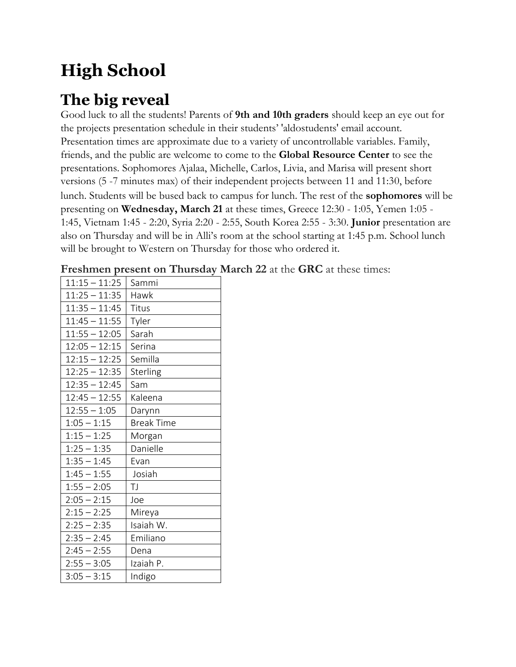# **High School**

#### **The big reveal**

Good luck to all the students! Parents of **9th and 10th graders** should keep an eye out for the projects presentation schedule in their students' 'aldostudents' email account. Presentation times are approximate due to a variety of uncontrollable variables. Family, friends, and the public are welcome to come to the **Global Resource Center** to see the presentations. Sophomores Ajalaa, Michelle, Carlos, Livia, and Marisa will present short versions (5 -7 minutes max) of their independent projects between 11 and 11:30, before lunch. Students will be bused back to campus for lunch. The rest of the **sophomores** will be presenting on **Wednesday, March 21** at these times, Greece 12:30 - 1:05, Yemen 1:05 - 1:45, Vietnam 1:45 - 2:20, Syria 2:20 - 2:55, South Korea 2:55 - 3:30. **Junior** presentation are also on Thursday and will be in Alli's room at the school starting at 1:45 p.m. School lunch will be brought to Western on Thursday for those who ordered it.

| $11:25 - 11:35$<br>Hawk<br>$11:35 - 11:45$<br>Titus<br>$11:45 - 11:55$<br>Tyler<br>$11:55 - 12:05$<br>Sarah<br>$12:05 - 12:15$<br>Serina<br>$12:15 - 12:25$<br>Semilla<br>$12:25 - 12:35$<br>Sterling<br>$12:35 - 12:45$<br>Sam<br>$12:45 - 12:55$<br>Kaleena<br>$12:55 - 1:05$<br>Darynn<br>$1:05 - 1:15$<br><b>Break Time</b><br>$1:15 - 1:25$<br>Morgan<br>$1:25 - 1:35$<br>Danielle<br>$1:35 - 1:45$<br>Evan<br>$1:45 - 1:55$<br>Josiah<br>$1:55 - 2:05$<br>TJ<br>$2:05 - 2:15$<br>Joe<br>$2:15 - 2:25$<br>Mireya<br>$2:25 - 2:35$<br>Isaiah W.<br>Emiliano<br>$2:35 - 2:45$<br>$2:45 - 2:55$<br>Dena<br>$2:55 - 3:05$<br>Izaiah P.<br>$3:05 - 3:15$<br>Indigo | $11:15 - 11:25$ | Sammi |
|--------------------------------------------------------------------------------------------------------------------------------------------------------------------------------------------------------------------------------------------------------------------------------------------------------------------------------------------------------------------------------------------------------------------------------------------------------------------------------------------------------------------------------------------------------------------------------------------------------------------------------------------------------------------|-----------------|-------|
|                                                                                                                                                                                                                                                                                                                                                                                                                                                                                                                                                                                                                                                                    |                 |       |
|                                                                                                                                                                                                                                                                                                                                                                                                                                                                                                                                                                                                                                                                    |                 |       |
|                                                                                                                                                                                                                                                                                                                                                                                                                                                                                                                                                                                                                                                                    |                 |       |
|                                                                                                                                                                                                                                                                                                                                                                                                                                                                                                                                                                                                                                                                    |                 |       |
|                                                                                                                                                                                                                                                                                                                                                                                                                                                                                                                                                                                                                                                                    |                 |       |
|                                                                                                                                                                                                                                                                                                                                                                                                                                                                                                                                                                                                                                                                    |                 |       |
|                                                                                                                                                                                                                                                                                                                                                                                                                                                                                                                                                                                                                                                                    |                 |       |
|                                                                                                                                                                                                                                                                                                                                                                                                                                                                                                                                                                                                                                                                    |                 |       |
|                                                                                                                                                                                                                                                                                                                                                                                                                                                                                                                                                                                                                                                                    |                 |       |
|                                                                                                                                                                                                                                                                                                                                                                                                                                                                                                                                                                                                                                                                    |                 |       |
|                                                                                                                                                                                                                                                                                                                                                                                                                                                                                                                                                                                                                                                                    |                 |       |
|                                                                                                                                                                                                                                                                                                                                                                                                                                                                                                                                                                                                                                                                    |                 |       |
|                                                                                                                                                                                                                                                                                                                                                                                                                                                                                                                                                                                                                                                                    |                 |       |
|                                                                                                                                                                                                                                                                                                                                                                                                                                                                                                                                                                                                                                                                    |                 |       |
|                                                                                                                                                                                                                                                                                                                                                                                                                                                                                                                                                                                                                                                                    |                 |       |
|                                                                                                                                                                                                                                                                                                                                                                                                                                                                                                                                                                                                                                                                    |                 |       |
|                                                                                                                                                                                                                                                                                                                                                                                                                                                                                                                                                                                                                                                                    |                 |       |
|                                                                                                                                                                                                                                                                                                                                                                                                                                                                                                                                                                                                                                                                    |                 |       |
|                                                                                                                                                                                                                                                                                                                                                                                                                                                                                                                                                                                                                                                                    |                 |       |
|                                                                                                                                                                                                                                                                                                                                                                                                                                                                                                                                                                                                                                                                    |                 |       |
|                                                                                                                                                                                                                                                                                                                                                                                                                                                                                                                                                                                                                                                                    |                 |       |
|                                                                                                                                                                                                                                                                                                                                                                                                                                                                                                                                                                                                                                                                    |                 |       |
|                                                                                                                                                                                                                                                                                                                                                                                                                                                                                                                                                                                                                                                                    |                 |       |

**Freshmen present on Thursday March 22** at the **GRC** at these times: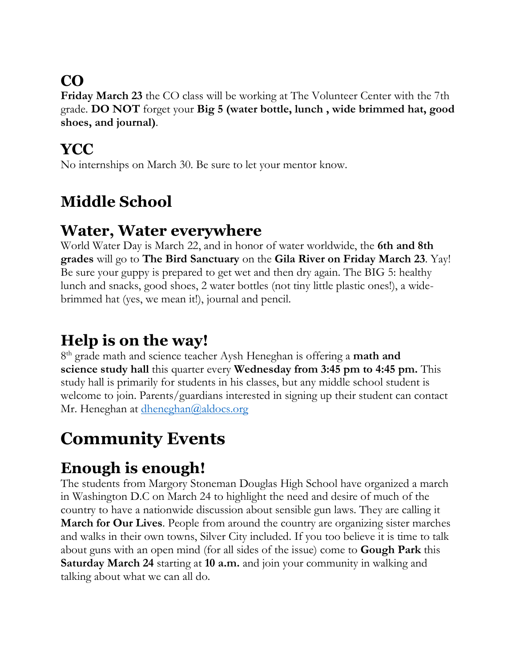## **CO**

**Friday March 23** the CO class will be working at The Volunteer Center with the 7th grade. **DO NOT** forget your **Big 5 (water bottle, lunch , wide brimmed hat, good shoes, and journal)**.

#### **YCC**

No internships on March 30. Be sure to let your mentor know.

## **Middle School**

#### **Water, Water everywhere**

World Water Day is March 22, and in honor of water worldwide, the **6th and 8th grades** will go to **The Bird Sanctuary** on the **Gila River on Friday March 23**. Yay! Be sure your guppy is prepared to get wet and then dry again. The BIG 5: healthy lunch and snacks, good shoes, 2 water bottles (not tiny little plastic ones!), a widebrimmed hat (yes, we mean it!), journal and pencil.

### **Help is on the way!**

8 th grade math and science teacher Aysh Heneghan is offering a **math and science study hall** this quarter every **Wednesday from 3:45 pm to 4:45 pm.** This study hall is primarily for students in his classes, but any middle school student is welcome to join. Parents/guardians interested in signing up their student can contact Mr. Heneghan at [dheneghan@aldocs.org](mailto:dheneghan@aldocs.org)

# **Community Events**

## **Enough is enough!**

The students from Margory Stoneman Douglas High School have organized a march in Washington D.C on March 24 to highlight the need and desire of much of the country to have a nationwide discussion about sensible gun laws. They are calling it **March for Our Lives**. People from around the country are organizing sister marches and walks in their own towns, Silver City included. If you too believe it is time to talk about guns with an open mind (for all sides of the issue) come to **Gough Park** this **Saturday March 24** starting at **10 a.m.** and join your community in walking and talking about what we can all do.